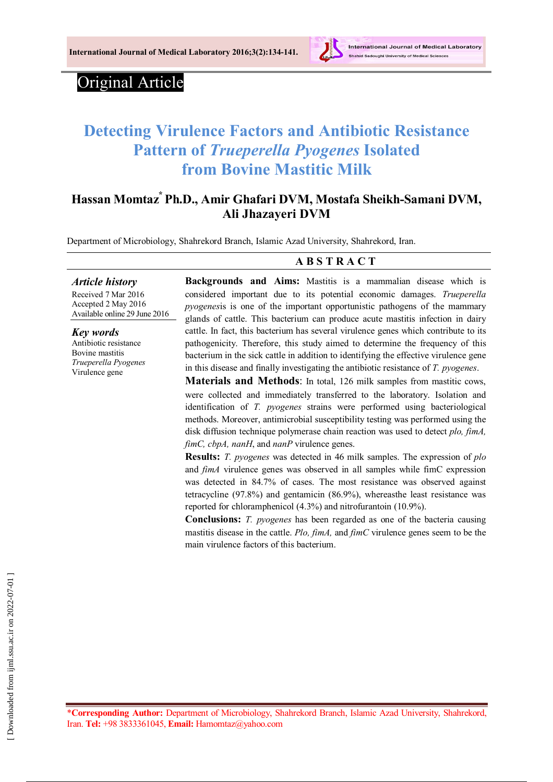

# Original Article

# **Detecting Virulence Factors and Antibiotic Resistance Pattern of** *Trueperella Pyogenes* **Isolated from Bovine Mastitic Milk**

# **Hassan Momtaz\* Ph.D., Amir Ghafari DVM, Mostafa Sheikh-Samani DVM, Ali Jhazayeri DVM**

Department of Microbiology, Shahrekord Branch, Islamic Azad University, Shahrekord, Iran.

## **A B S T R A C T**

*Article history* Received 7 Mar 2016 Accepted 2 May 2016 Available online 29 June 2016

*Key words* Antibiotic resistance Bovine mastitis *Trueperella Pyogenes* Virulence gene

**Backgrounds and Aims:** Mastitis is a mammalian disease which is considered important due to its potential economic damages. *Trueperella pyogenes*is is one of the important opportunistic pathogens of the mammary glands of cattle. This bacterium can produce acute mastitis infection in dairy cattle. In fact, this bacterium has several virulence genes which contribute to its pathogenicity. Therefore, this study aimed to determine the frequency of this bacterium in the sick cattle in addition to identifying the effective virulence gene in this disease and finally investigating the antibiotic resistance of *T. pyogenes*.

**Materials and Methods**: In total, 126 milk samples from mastitic cows, were collected and immediately transferred to the laboratory. Isolation and identification of *T. pyogenes* strains were performed using bacteriological methods. Moreover, antimicrobial susceptibility testing was performed using the disk diffusion technique polymerase chain reaction was used to detect *plo, fimA, fimC, cbpA, nanH*, and *nanP* virulence genes.

**Results:** *T. pyogenes* was detected in 46 milk samples. The expression of *plo* and *fimA* virulence genes was observed in all samples while fimC expression was detected in 84.7% of cases. The most resistance was observed against tetracycline (97.8%) and gentamicin (86.9%), whereasthe least resistance was reported for chloramphenicol (4.3%) and nitrofurantoin (10.9%).

**Conclusions:** *T. pyogenes* has been regarded as one of the bacteria causing mastitis disease in the cattle. *Plo, fimA,* and *fimC* virulence genes seem to be the main virulence factors of this bacterium.

\***Corresponding Author:** Department of Microbiology, Shahrekord Branch, Islamic Azad University, Shahrekord, Iran. **Tel:** +98 3833361045, **Email:** Hamomtaz@yahoo.com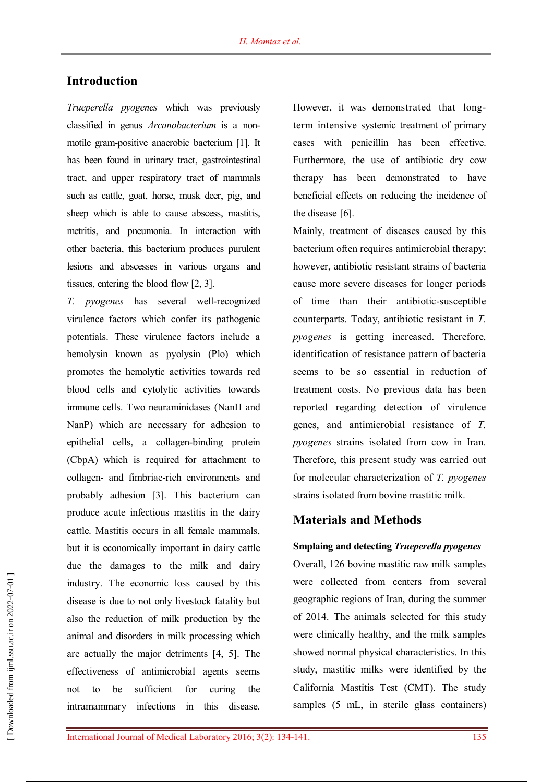## **Introduction**

*Trueperella pyogenes* which was previously classified in genus *Arcanobacterium* is a nonmotile gram-positive anaerobic bacterium [1]. It has been found in urinary tract, gastrointestinal tract, and upper respiratory tract of mammals such as cattle, goat, horse, musk deer, pig, and sheep which is able to cause abscess, mastitis, metritis, and pneumonia. In interaction with other bacteria, this bacterium produces purulent lesions and abscesses in various organs and tissues, entering the blood flow [2, 3].

*T. pyogenes* has several well-recognized virulence factors which confer its pathogenic potentials. These virulence factors include a hemolysin known as pyolysin (Plo) which promotes the hemolytic activities towards red blood cells and cytolytic activities towards immune cells. Two neuraminidases (NanH and NanP) which are necessary for adhesion to epithelial cells, a collagen-binding protein (CbpA) which is required for attachment to collagen- and fimbriae-rich environments and probably adhesion [3]. This bacterium can produce acute infectious mastitis in the dairy cattle. Mastitis occurs in all female mammals, but it is economically important in dairy cattle due the damages to the milk and dairy industry. The economic loss caused by this disease is due to not only livestock fatality but also the reduction of milk production by the animal and disorders in milk processing which are actually the major detriments [4, 5]. The effectiveness of antimicrobial agents seems not to be sufficient for curing the intramammary infections in this disease.

However, it was demonstrated that longterm intensive systemic treatment of primary cases with penicillin has been effective. Furthermore, the use of antibiotic dry cow therapy has been demonstrated to have beneficial effects on reducing the incidence of the disease [6].

Mainly, treatment of diseases caused by this bacterium often requires antimicrobial therapy; however, antibiotic resistant strains of bacteria cause more severe diseases for longer periods of time than their antibiotic-susceptible counterparts. Today, antibiotic resistant in *T. pyogenes* is getting increased. Therefore, identification of resistance pattern of bacteria seems to be so essential in reduction of treatment costs. No previous data has been reported regarding detection of virulence genes, and antimicrobial resistance of *T. pyogenes* strains isolated from cow in Iran. Therefore, this present study was carried out for molecular characterization of *T. pyogenes* strains isolated from bovine mastitic milk.

## **Materials and Methods**

### **Smplaing and detecting** *Trueperella pyogenes*

Overall, 126 bovine mastitic raw milk samples were collected from centers from several geographic regions of Iran, during the summer of 2014. The animals selected for this study were clinically healthy, and the milk samples showed normal physical characteristics. In this study, mastitic milks were identified by the California Mastitis Test (CMT). The study samples (5 mL, in sterile glass containers)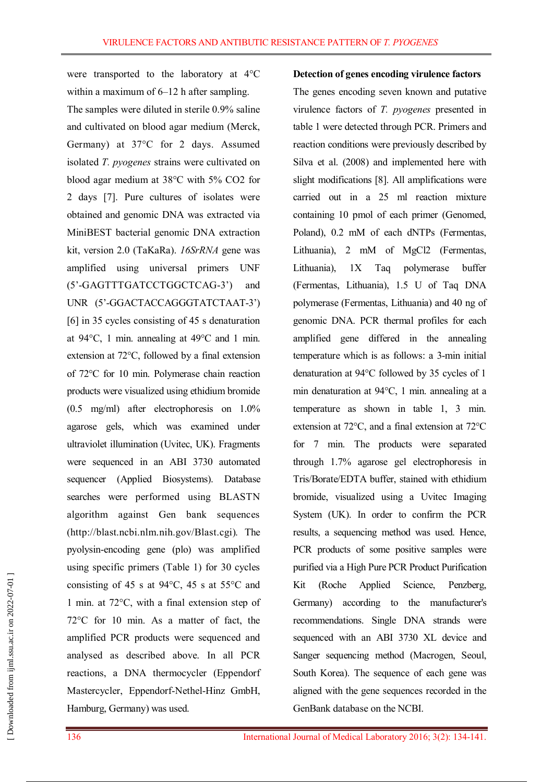were transported to the laboratory at 4°C within a maximum of  $6-12$  h after sampling. The samples were diluted in sterile 0.9% saline and cultivated on blood agar medium (Merck, Germany) at 37°C for 2 days. Assumed isolated *T. pyogenes* strains were cultivated on blood agar medium at 38°C with 5% CO2 for 2 days [7]. Pure cultures of isolates were obtained and genomic DNA was extracted via MiniBEST bacterial genomic DNA extraction kit, version 2.0 (TaKaRa). *16SrRNA* gene was amplified using universal primers UNF (5'-GAGTTTGATCCTGGCTCAG-3') and UNR (5'-GGACTACCAGGGTATCTAAT-3') [6] in 35 cycles consisting of 45 s denaturation at 94°C, 1 min. annealing at 49°C and 1 min. extension at 72°C, followed by a final extension of 72°C for 10 min. Polymerase chain reaction products were visualized using ethidium bromide (0.5 mg/ml) after electrophoresis on 1.0% agarose gels, which was examined under ultraviolet illumination (Uvitec, UK). Fragments were sequenced in an ABI 3730 automated sequencer (Applied Biosystems). Database searches were performed using BLASTN algorithm against Gen bank sequences (http://blast.ncbi.nlm.nih.gov/Blast.cgi). The pyolysin-encoding gene (plo) was amplified using specific primers (Table 1) for 30 cycles consisting of 45 s at 94°C, 45 s at 55°C and 1 min. at 72°C, with a final extension step of 72°C for 10 min. As a matter of fact, the amplified PCR products were sequenced and analysed as described above. In all PCR reactions, a DNA thermocycler (Eppendorf Mastercycler, Eppendorf-Nethel-Hinz GmbH, Hamburg, Germany) was used.

#### **Detection of genes encoding virulence factors**

The genes encoding seven known and putative virulence factors of *T. pyogenes* presented in table 1 were detected through PCR. Primers and reaction conditions were previously described by Silva et al. (2008) and implemented here with slight modifications [8]. All amplifications were carried out in a 25 ml reaction mixture containing 10 pmol of each primer (Genomed, Poland), 0.2 mM of each dNTPs (Fermentas, Lithuania), 2 mM of MgCl2 (Fermentas, Lithuania), 1X Taq polymerase buffer (Fermentas, Lithuania), 1.5 U of Taq DNA polymerase (Fermentas, Lithuania) and 40 ng of genomic DNA. PCR thermal profiles for each amplified gene differed in the annealing temperature which is as follows: a 3-min initial denaturation at 94°C followed by 35 cycles of 1 min denaturation at 94°C, 1 min. annealing at a temperature as shown in table 1, 3 min. extension at 72°C, and a final extension at 72°C for 7 min. The products were separated through 1.7% agarose gel electrophoresis in Tris/Borate/EDTA buffer, stained with ethidium bromide, visualized using a Uvitec Imaging System (UK). In order to confirm the PCR results, a sequencing method was used. Hence, PCR products of some positive samples were purified via a High Pure PCR Product Purification Kit (Roche Applied Science, Penzberg, Germany) according to the manufacturer's recommendations. Single DNA strands were sequenced with an ABI 3730 XL device and Sanger sequencing method (Macrogen, Seoul, South Korea). The sequence of each gene was aligned with the gene sequences recorded in the GenBank database on the NCBI.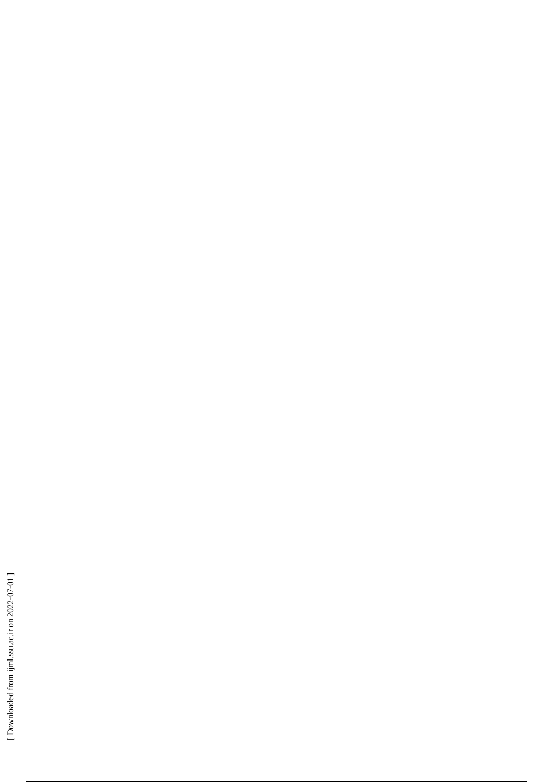[Downloaded from ijml.ssu.ac.ir on 2022-07-01 ] [ Downloaded from ijml.ssu.ac.ir on 2022-07-01 ]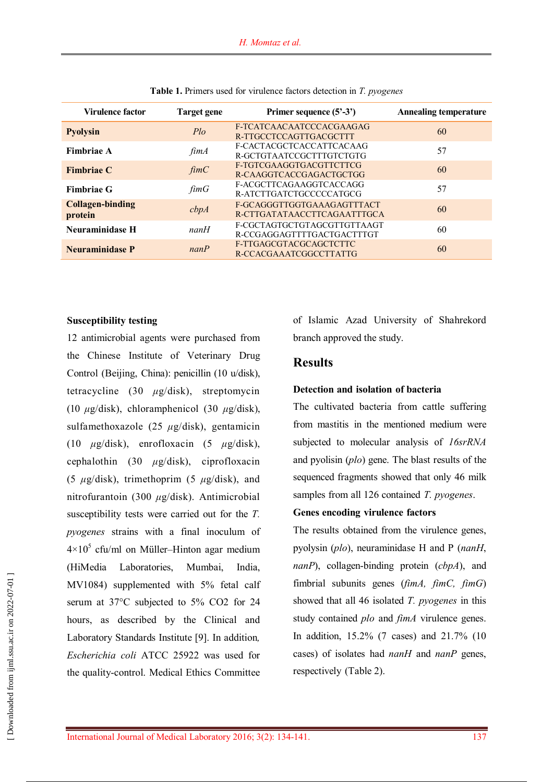| Virulence factor                   | <b>Target gene</b> | Primer sequence (5'-3')                                   | <b>Annealing temperature</b> |
|------------------------------------|--------------------|-----------------------------------------------------------|------------------------------|
| <b>Pyolysin</b>                    | Plo                | F-TCATCAACAATCCCACGAAGAG<br>R-TTGCCTCCAGTTGACGCTTT        | 60                           |
| Fimbriae A                         | $\int$ <i>fimA</i> | F-CACTACGCTCACCATTCACAAG<br>R-GCTGTAATCCGCTTTGTCTGTG      | 57                           |
| <b>Fimbriae C</b>                  | $\text{fim}C$      | F-TGTCGAAGGTGACGTTCTTCG<br>R-CAAGGTCACCGAGACTGCTGG        | 60                           |
| <b>Fimbriae G</b>                  | $f$ <i>im</i> $G$  | F-ACGCTTCAGAAGGTCACCAGG<br>R-ATCTTGATCTGCCCCCATGCG        | 57                           |
| <b>Collagen-binding</b><br>protein | cbpA               | F-GCAGGGTTGGTGAAAGAGTTTACT<br>R-CTTGATATAACCTTCAGAATTTGCA | 60                           |
| Neuraminidase H                    | nanH               | F-CGCTAGTGCTGTAGCGTTGTTAAGT<br>R-CCGAGGAGTTTTGACTGACTTTGT | 60                           |
| <b>Neuraminidase P</b>             | nanP               | F-TTGAGCGTACGCAGCTCTTC<br>R-CCACGAAATCGGCCTTATTG          | 60                           |

|  |  |  | Table 1. Primers used for virulence factors detection in T. pyogenes |  |  |  |  |
|--|--|--|----------------------------------------------------------------------|--|--|--|--|
|--|--|--|----------------------------------------------------------------------|--|--|--|--|

#### **Susceptibility testing**

12 antimicrobial agents were purchased from the Chinese Institute of Veterinary Drug Control (Beijing, China): penicillin (10 u/disk), tetracycline (30 *μ*g/disk), streptomycin (10 *μ*g/disk), chloramphenicol (30 *μ*g/disk), sulfamethoxazole (25 *μ*g/disk), gentamicin (10 *μ*g/disk), enrofloxacin (5 *μ*g/disk), cephalothin (30 *μ*g/disk), ciprofloxacin (5 *μ*g/disk), trimethoprim (5 *μ*g/disk), and nitrofurantoin (300 *μ*g/disk). Antimicrobial susceptibility tests were carried out for the *T. pyogenes* strains with a final inoculum of  $4\times10^5$  cfu/ml on Müller-Hinton agar medium (HiMedia Laboratories, Mumbai, India, MV1084) supplemented with 5% fetal calf serum at 37°C subjected to 5% CO2 for 24 hours, as described by the Clinical and Laboratory Standards Institute [9]. In addition*, Escherichia coli* ATCC 25922 was used for the quality-control. Medical Ethics Committee

of Islamic Azad University of Shahrekord branch approved the study.

## **Results**

#### **Detection and isolation of bacteria**

The cultivated bacteria from cattle suffering from mastitis in the mentioned medium were subjected to molecular analysis of *16srRNA* and pyolisin (*plo*) gene. The blast results of the sequenced fragments showed that only 46 milk samples from all 126 contained *T. pyogenes*.

### **Genes encoding virulence factors**

The results obtained from the virulence genes, pyolysin (*plo*), neuraminidase H and P (*nanH*, *nanP*), collagen-binding protein (*cbpA*), and fimbrial subunits genes (*fimA, fimC, fimG*) showed that all 46 isolated *T. pyogenes* in this study contained *plo* and *fimA* virulence genes. In addition, 15.2% (7 cases) and 21.7% (10 cases) of isolates had *nanH* and *nanP* genes, respectively (Table 2).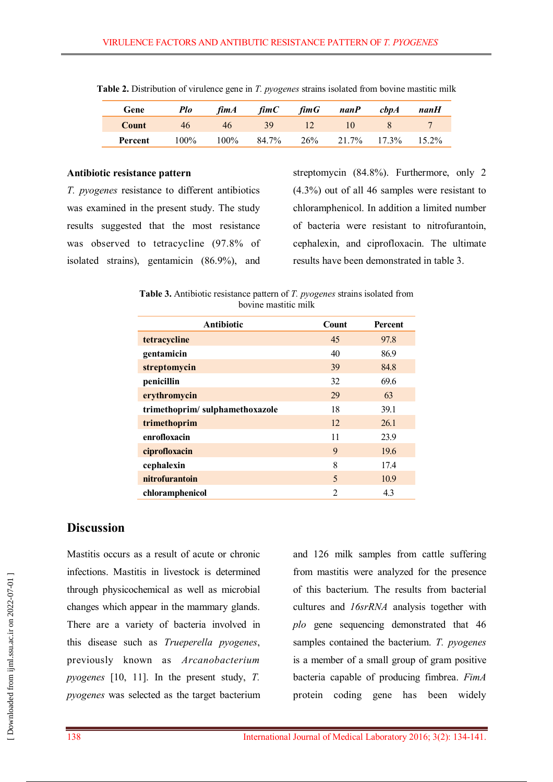| Gene    | Plo     | $f$ <i>im<math>A</math></i> | fimC  | fim G | nanP | cbpA              | nanH |
|---------|---------|-----------------------------|-------|-------|------|-------------------|------|
| Count   | 46      | 46                          | 39    |       | 10   |                   |      |
| Percent | $100\%$ | $100\%$                     | 84.7% | 26%   |      | 21.7% 17.3% 15.2% |      |

| Table 2. Distribution of virulence gene in <i>T. pyogenes</i> strains isolated from bovine mastitic milk |  |  |  |
|----------------------------------------------------------------------------------------------------------|--|--|--|
|----------------------------------------------------------------------------------------------------------|--|--|--|

#### **Antibiotic resistance pattern**

| <i>T. pyogenes</i> resistance to different antibiotics |
|--------------------------------------------------------|
| was examined in the present study. The study           |
| results suggested that the most resistance             |
| was observed to tetracycline (97.8% of                 |
| isolated strains), gentamicin (86.9%), and             |

streptomycin (84.8%). Furthermore, only 2 (4.3%) out of all 46 samples were resistant to chloramphenicol. In addition a limited number of bacteria were resistant to nitrofurantoin, cephalexin, and ciprofloxacin. The ultimate results have been demonstrated in table 3.

**Table 3.** Antibiotic resistance pattern of *T. pyogenes* strains isolated from bovine mastitic milk

| Antibiotic                     | Count          | <b>Percent</b> |
|--------------------------------|----------------|----------------|
| tetracycline                   | 45             | 97.8           |
| gentamicin                     | 40             | 86.9           |
| streptomycin                   | 39             | 84.8           |
| penicillin                     | 32             | 69.6           |
| erythromycin                   | 29             | 63             |
| trimethoprim/sulphamethoxazole | 18             | 39.1           |
| trimethoprim                   | 12             | 26.1           |
| enrofloxacin                   | 11             | 23.9           |
| ciprofloxacin                  | 9              | 19.6           |
| cephalexin                     | 8              | 17.4           |
| nitrofurantoin                 | 5              | 10.9           |
| chloramphenicol                | $\overline{2}$ | 4.3            |

## **Discussion**

Mastitis occurs as a result of acute or chronic infections. Mastitis in livestock is determined through physicochemical as well as microbial changes which appear in the mammary glands. There are a variety of bacteria involved in this disease such as *Trueperella pyogenes*, previously known as *Arcanobacterium pyogenes* [10, 11]. In the present study, *T. pyogenes* was selected as the target bacterium

and 126 milk samples from cattle suffering from mastitis were analyzed for the presence of this bacterium. The results from bacterial cultures and *16srRNA* analysis together with *plo* gene sequencing demonstrated that 46 samples contained the bacterium. *T. pyogenes* is a member of a small group of gram positive bacteria capable of producing fimbrea. *FimA* protein coding gene has been widely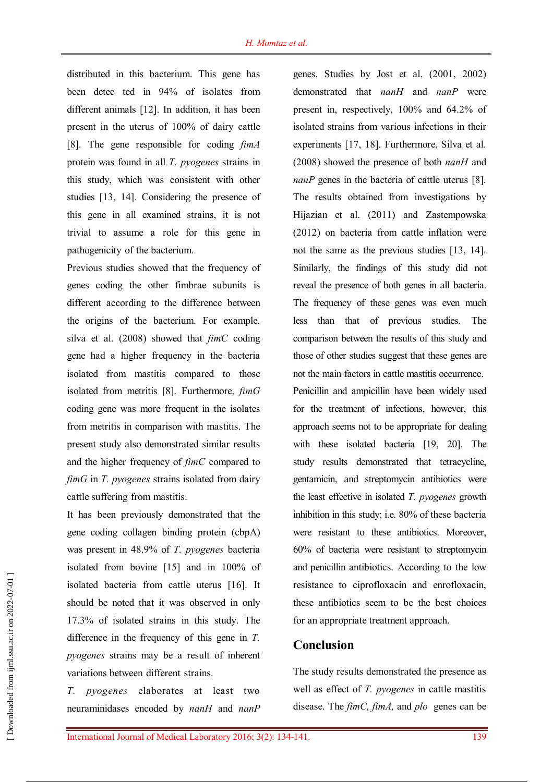distributed in this bacterium. This gene has been detec ted in 94% of isolates from different animals [12]. In addition, it has been present in the uterus of 100% of dairy cattle [8]. The gene responsible for coding *fimA* protein was found in all *T. pyogenes* strains in this study, which was consistent with other studies [13, 14]. Considering the presence of this gene in all examined strains, it is not trivial to assume a role for this gene in pathogenicity of the bacterium.

Previous studies showed that the frequency of genes coding the other fimbrae subunits is different according to the difference between the origins of the bacterium. For example, silva et al. (2008) showed that *fimC* coding gene had a higher frequency in the bacteria isolated from mastitis compared to those isolated from metritis [8]. Furthermore, *fimG* coding gene was more frequent in the isolates from metritis in comparison with mastitis. The present study also demonstrated similar results and the higher frequency of *fimC* compared to *fimG* in *T. pyogenes* strains isolated from dairy cattle suffering from mastitis.

It has been previously demonstrated that the gene coding collagen binding protein (cbpA) was present in 48.9% of *T. pyogenes* bacteria isolated from bovine [15] and in 100% of isolated bacteria from cattle uterus [16]. It should be noted that it was observed in only 17.3% of isolated strains in this study. The difference in the frequency of this gene in *T. pyogenes* strains may be a result of inherent variations between different strains.

*T. pyogenes* elaborates at least two neuraminidases encoded by *nanH* and *nanP* genes. Studies by Jost et al. (2001, 2002) demonstrated that *nanH* and *nanP* were present in, respectively, 100% and 64.2% of isolated strains from various infections in their experiments [17, 18]. Furthermore, Silva et al. (2008) showed the presence of both *nanH* and *nanP* genes in the bacteria of cattle uterus [8]. The results obtained from investigations by Hijazian et al. (2011) and Zastempowska (2012) on bacteria from cattle inflation were not the same as the previous studies [13, 14]. Similarly, the findings of this study did not reveal the presence of both genes in all bacteria. The frequency of these genes was even much less than that of previous studies. The comparison between the results of this study and those of other studies suggest that these genes are not the main factors in cattle mastitis occurrence. Penicillin and ampicillin have been widely used for the treatment of infections, however, this approach seems not to be appropriate for dealing with these isolated bacteria [19, 20]. The study results demonstrated that tetracycline, gentamicin, and streptomycin antibiotics were the least effective in isolated *T. pyogenes* growth inhibition in this study; i.e. 80% of these bacteria were resistant to these antibiotics. Moreover, 60% of bacteria were resistant to streptomycin and penicillin antibiotics. According to the low resistance to ciprofloxacin and enrofloxacin, these antibiotics seem to be the best choices for an appropriate treatment approach.

## **Conclusion**

The study results demonstrated the presence as well as effect of *T. pyogenes* in cattle mastitis disease. The *fimC, fimA,* and *plo* genes can be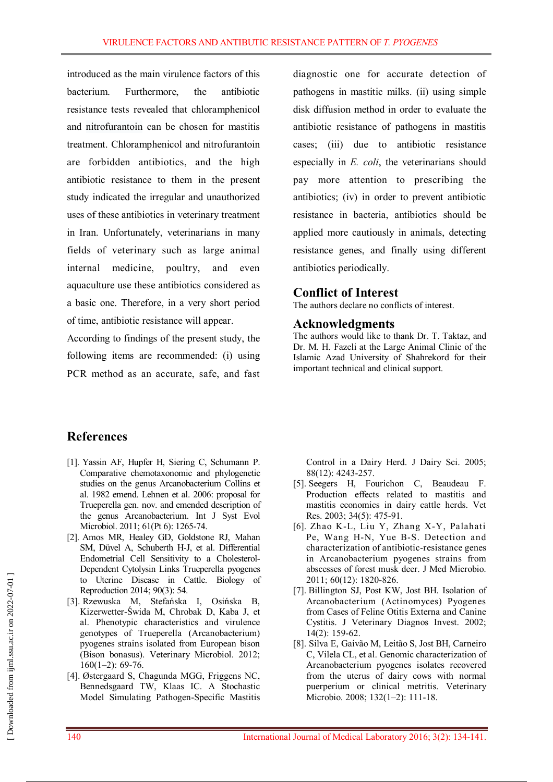introduced as the main virulence factors of this bacterium. Furthermore, the antibiotic resistance tests revealed that chloramphenicol and nitrofurantoin can be chosen for mastitis treatment. Chloramphenicol and nitrofurantoin are forbidden antibiotics, and the high antibiotic resistance to them in the present study indicated the irregular and unauthorized uses of these antibiotics in veterinary treatment in Iran. Unfortunately, veterinarians in many fields of veterinary such as large animal internal medicine, poultry, and even aquaculture use these antibiotics considered as a basic one. Therefore, in a very short period of time, antibiotic resistance will appear.

According to findings of the present study, the following items are recommended: (i) using PCR method as an accurate, safe, and fast

diagnostic one for accurate detection of pathogens in mastitic milks. (ii) using simple disk diffusion method in order to evaluate the antibiotic resistance of pathogens in mastitis cases; (iii) due to antibiotic resistance especially in *E. coli*, the veterinarians should pay more attention to prescribing the antibiotics; (iv) in order to prevent antibiotic resistance in bacteria, antibiotics should be applied more cautiously in animals, detecting resistance genes, and finally using different antibiotics periodically.

### **Conflict of Interest**

The authors declare no conflicts of interest.

#### **Acknowledgments**

The authors would like to thank Dr. T. Taktaz, and Dr. M. H. Fazeli at the Large Animal Clinic of the Islamic Azad University of Shahrekord for their important technical and clinical support.

## **References**

- [1]. Yassin AF, Hupfer H, Siering C, Schumann P. Comparative chemotaxonomic and phylogenetic studies on the genus Arcanobacterium Collins et al. 1982 emend. Lehnen et al. 2006: proposal for Trueperella gen. nov. and emended description of the genus Arcanobacterium. Int J Syst Evol Microbiol. 2011; 61(Pt 6): 1265-74.
- [2]. Amos MR, Healey GD, Goldstone RJ, Mahan SM, Düvel A, Schuberth H-J, et al. Differential Endometrial Cell Sensitivity to a Cholesterol-Dependent Cytolysin Links Trueperella pyogenes to Uterine Disease in Cattle. Biology of Reproduction 2014; 90(3): 54.
- [3]. Rzewuska M, Stefańska I, Osińska B, Kizerwetter-Świda M, Chrobak D, Kaba J, et al. Phenotypic characteristics and virulence genotypes of Trueperella (Arcanobacterium) pyogenes strains isolated from European bison (Bison bonasus). Veterinary Microbiol. 2012; 160(1–2): 69-76.
- [4]. Østergaard S, Chagunda MGG, Friggens NC, Bennedsgaard TW, Klaas IC. A Stochastic Model Simulating Pathogen-Specific Mastitis

Control in a Dairy Herd. J Dairy Sci. 2005; 88(12): 4243-257.

- [5]. Seegers H, Fourichon C, Beaudeau F. Production effects related to mastitis and mastitis economics in dairy cattle herds. Vet Res. 2003; 34(5): 475-91.
- [6]. Zhao K-L, Liu Y, Zhang X-Y, Palahati Pe, Wang H-N, Yue B-S. Detection and characterization of antibiotic-resistance genes in Arcanobacterium pyogenes strains from abscesses of forest musk deer. J Med Microbio. 2011; 60(12): 1820-826.
- [7]. Billington SJ, Post KW, Jost BH. Isolation of Arcanobacterium (Actinomyces) Pyogenes from Cases of Feline Otitis Externa and Canine Cystitis. J Veterinary Diagnos Invest. 2002; 14(2): 159-62.
- [8]. Silva E, Gaivão M, Leitão S, Jost BH, Carneiro C, Vilela CL, et al. Genomic characterization of Arcanobacterium pyogenes isolates recovered from the uterus of dairy cows with normal puerperium or clinical metritis. Veterinary Microbio. 2008; 132(1–2): 111-18.